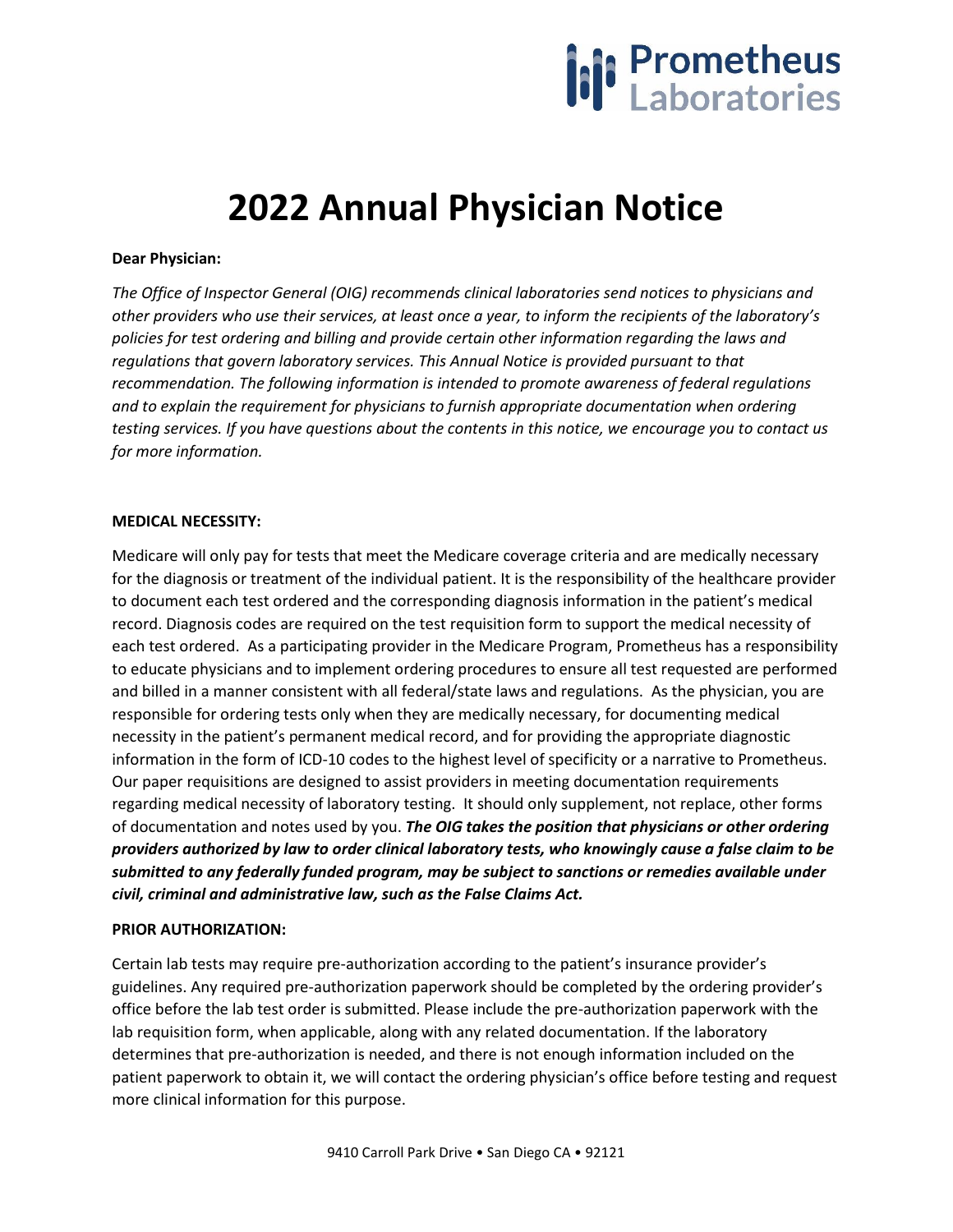

# **2022 Annual Physician Notice**

### **Dear Physician:**

*The Office of Inspector General (OIG) recommends clinical laboratories send notices to physicians and other providers who use their services, at least once a year, to inform the recipients of the laboratory's policies for test ordering and billing and provide certain other information regarding the laws and regulations that govern laboratory services. This Annual Notice is provided pursuant to that recommendation. The following information is intended to promote awareness of federal regulations and to explain the requirement for physicians to furnish appropriate documentation when ordering testing services. If you have questions about the contents in this notice, we encourage you to contact us for more information.*

#### **MEDICAL NECESSITY:**

Medicare will only pay for tests that meet the Medicare coverage criteria and are medically necessary for the diagnosis or treatment of the individual patient. It is the responsibility of the healthcare provider to document each test ordered and the corresponding diagnosis information in the patient's medical record. Diagnosis codes are required on the test requisition form to support the medical necessity of each test ordered. As a participating provider in the Medicare Program, Prometheus has a responsibility to educate physicians and to implement ordering procedures to ensure all test requested are performed and billed in a manner consistent with all federal/state laws and regulations. As the physician, you are responsible for ordering tests only when they are medically necessary, for documenting medical necessity in the patient's permanent medical record, and for providing the appropriate diagnostic information in the form of ICD-10 codes to the highest level of specificity or a narrative to Prometheus. Our paper requisitions are designed to assist providers in meeting documentation requirements regarding medical necessity of laboratory testing. It should only supplement, not replace, other forms of documentation and notes used by you. *The OIG takes the position that physicians or other ordering providers authorized by law to order clinical laboratory tests, who knowingly cause a false claim to be submitted to any federally funded program, may be subject to sanctions or remedies available under civil, criminal and administrative law, such as the False Claims Act.*

## **PRIOR AUTHORIZATION:**

Certain lab tests may require pre-authorization according to the patient's insurance provider's guidelines. Any required pre-authorization paperwork should be completed by the ordering provider's office before the lab test order is submitted. Please include the pre-authorization paperwork with the lab requisition form, when applicable, along with any related documentation. If the laboratory determines that pre-authorization is needed, and there is not enough information included on the patient paperwork to obtain it, we will contact the ordering physician's office before testing and request more clinical information for this purpose.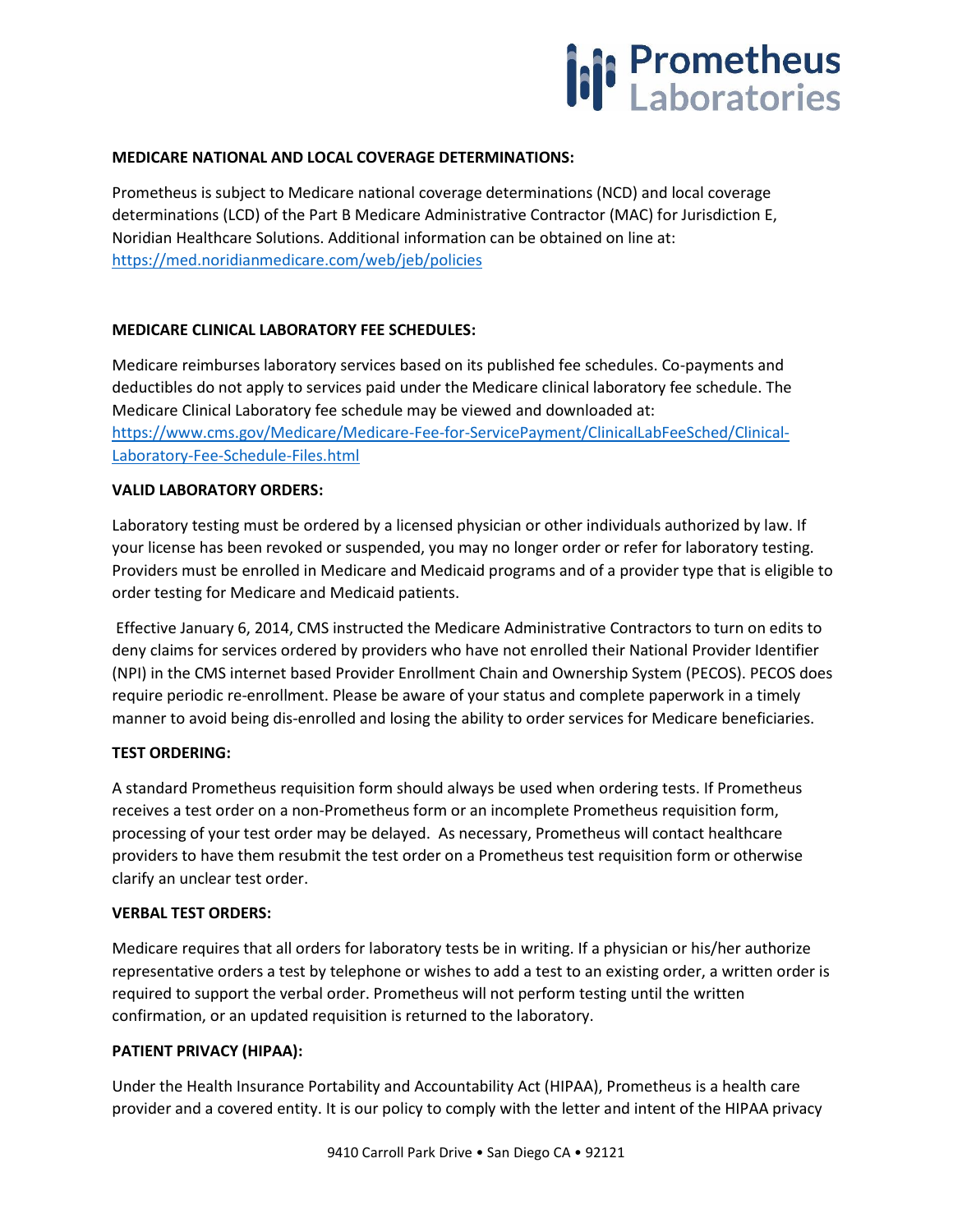

#### **MEDICARE NATIONAL AND LOCAL COVERAGE DETERMINATIONS:**

Prometheus is subject to Medicare national coverage determinations (NCD) and local coverage determinations (LCD) of the Part B Medicare Administrative Contractor (MAC) for Jurisdiction E, Noridian Healthcare Solutions. Additional information can be obtained on line at: <https://med.noridianmedicare.com/web/jeb/policies>

#### **MEDICARE CLINICAL LABORATORY FEE SCHEDULES:**

Medicare reimburses laboratory services based on its published fee schedules. Co-payments and deductibles do not apply to services paid under the Medicare clinical laboratory fee schedule. The Medicare Clinical Laboratory fee schedule may be viewed and downloaded at: [https://www.cms.gov/Medicare/Medicare-Fee-for-ServicePayment/ClinicalLabFeeSched/Clinical-](https://www.cms.gov/Medicare/Medicare-Fee-for-ServicePayment/ClinicalLabFeeSched/Clinical-Laboratory-Fee-Schedule-Files.html)[Laboratory-Fee-Schedule-Files.html](https://www.cms.gov/Medicare/Medicare-Fee-for-ServicePayment/ClinicalLabFeeSched/Clinical-Laboratory-Fee-Schedule-Files.html)

#### **VALID LABORATORY ORDERS:**

Laboratory testing must be ordered by a licensed physician or other individuals authorized by law. If your license has been revoked or suspended, you may no longer order or refer for laboratory testing. Providers must be enrolled in Medicare and Medicaid programs and of a provider type that is eligible to order testing for Medicare and Medicaid patients.

Effective January 6, 2014, CMS instructed the Medicare Administrative Contractors to turn on edits to deny claims for services ordered by providers who have not enrolled their National Provider Identifier (NPI) in the CMS internet based Provider Enrollment Chain and Ownership System (PECOS). PECOS does require periodic re-enrollment. Please be aware of your status and complete paperwork in a timely manner to avoid being dis-enrolled and losing the ability to order services for Medicare beneficiaries.

## **TEST ORDERING:**

A standard Prometheus requisition form should always be used when ordering tests. If Prometheus receives a test order on a non-Prometheus form or an incomplete Prometheus requisition form, processing of your test order may be delayed. As necessary, Prometheus will contact healthcare providers to have them resubmit the test order on a Prometheus test requisition form or otherwise clarify an unclear test order.

#### **VERBAL TEST ORDERS:**

Medicare requires that all orders for laboratory tests be in writing. If a physician or his/her authorize representative orders a test by telephone or wishes to add a test to an existing order, a written order is required to support the verbal order. Prometheus will not perform testing until the written confirmation, or an updated requisition is returned to the laboratory.

## **PATIENT PRIVACY (HIPAA):**

Under the Health Insurance Portability and Accountability Act (HIPAA), Prometheus is a health care provider and a covered entity. It is our policy to comply with the letter and intent of the HIPAA privacy